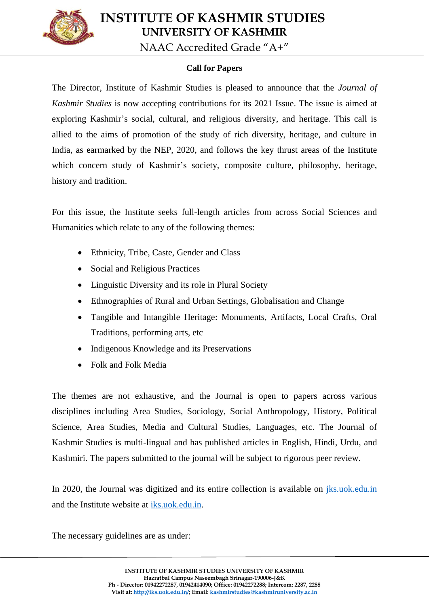

 **INSTITUTE OF KASHMIR STUDIES UNIVERSITY OF KASHMIR**

NAAC Accredited Grade "A+"

## **Call for Papers**

The Director, Institute of Kashmir Studies is pleased to announce that the *Journal of Kashmir Studies* is now accepting contributions for its 2021 Issue. The issue is aimed at exploring Kashmir's social, cultural, and religious diversity, and heritage. This call is allied to the aims of promotion of the study of rich diversity, heritage, and culture in India, as earmarked by the NEP, 2020, and follows the key thrust areas of the Institute which concern study of Kashmir's society, composite culture, philosophy, heritage, history and tradition.

For this issue, the Institute seeks full-length articles from across Social Sciences and Humanities which relate to any of the following themes:

- Ethnicity, Tribe, Caste, Gender and Class
- Social and Religious Practices
- Linguistic Diversity and its role in Plural Society
- Ethnographies of Rural and Urban Settings, Globalisation and Change
- Tangible and Intangible Heritage: Monuments, Artifacts, Local Crafts, Oral Traditions, performing arts, etc
- Indigenous Knowledge and its Preservations
- Folk and Folk Media

The themes are not exhaustive, and the Journal is open to papers across various disciplines including Area Studies, Sociology, Social Anthropology, History, Political Science, Area Studies, Media and Cultural Studies, Languages, etc. The Journal of Kashmir Studies is multi-lingual and has published articles in English, Hindi, Urdu, and Kashmiri. The papers submitted to the journal will be subject to rigorous peer review.

In 2020, the Journal was digitized and its entire collection is available on [jks.uok.edu.in](http://jks.uok.edu.in/) and the Institute website at [iks.uok.edu.in.](http://iks.uok.edu.in/)

The necessary guidelines are as under: